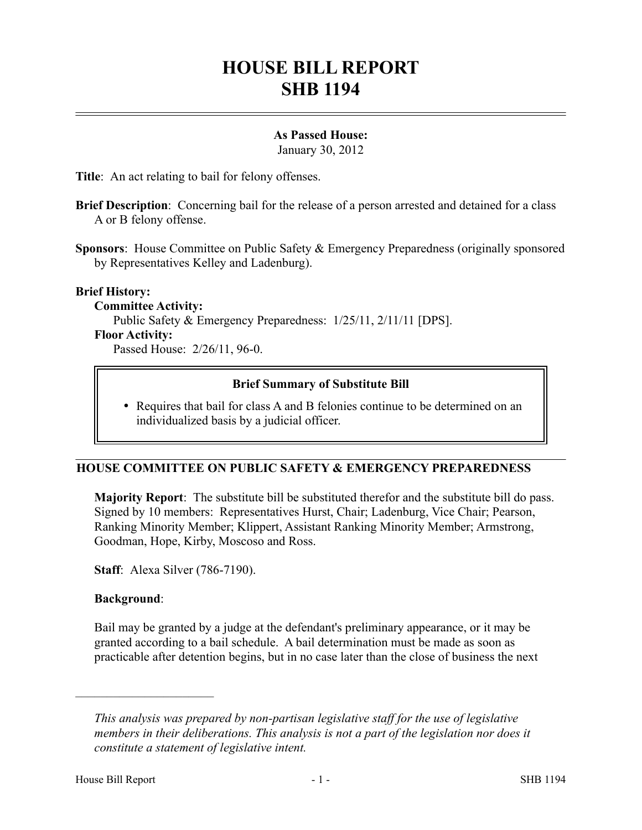# **HOUSE BILL REPORT SHB 1194**

#### **As Passed House:**

January 30, 2012

**Title**: An act relating to bail for felony offenses.

**Brief Description**: Concerning bail for the release of a person arrested and detained for a class A or B felony offense.

**Sponsors**: House Committee on Public Safety & Emergency Preparedness (originally sponsored by Representatives Kelley and Ladenburg).

#### **Brief History:**

**Committee Activity:** Public Safety & Emergency Preparedness: 1/25/11, 2/11/11 [DPS]. **Floor Activity:**

Passed House: 2/26/11, 96-0.

## **Brief Summary of Substitute Bill**

 Requires that bail for class A and B felonies continue to be determined on an individualized basis by a judicial officer.

## **HOUSE COMMITTEE ON PUBLIC SAFETY & EMERGENCY PREPAREDNESS**

**Majority Report**: The substitute bill be substituted therefor and the substitute bill do pass. Signed by 10 members: Representatives Hurst, Chair; Ladenburg, Vice Chair; Pearson, Ranking Minority Member; Klippert, Assistant Ranking Minority Member; Armstrong, Goodman, Hope, Kirby, Moscoso and Ross.

**Staff**: Alexa Silver (786-7190).

#### **Background**:

––––––––––––––––––––––

Bail may be granted by a judge at the defendant's preliminary appearance, or it may be granted according to a bail schedule. A bail determination must be made as soon as practicable after detention begins, but in no case later than the close of business the next

*This analysis was prepared by non-partisan legislative staff for the use of legislative members in their deliberations. This analysis is not a part of the legislation nor does it constitute a statement of legislative intent.*